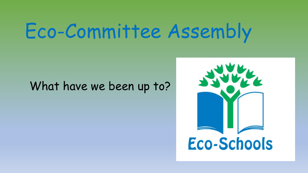#### What have we been up to?

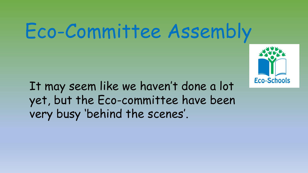

It may seem like we haven't done a lot yet, but the Eco-committee have been very busy 'behind the scenes'.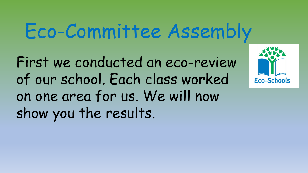First we conducted an eco-review of our school. Each class worked on one area for us. We will now show you the results.

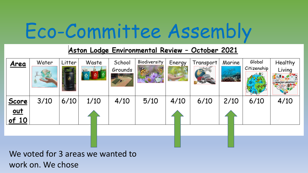#### Aston Lodge Environmental Review - October 2021

| <u>Area</u>  | Water | Litter<br>88. | Waste | School<br>Grounds | Biodiversity | Energy | Transport | Marine | Global<br>Citizenship | Healthy<br>Living<br><b>HEALTHY LIFESTYLE</b> |
|--------------|-------|---------------|-------|-------------------|--------------|--------|-----------|--------|-----------------------|-----------------------------------------------|
| <b>Score</b> | 3/10  | 6/10          | 1/10  | 4/10              | 5/10         | 4/10   | 6/10      | 2/10   | 6/10                  | 4/10                                          |
| <u>out</u>   |       |               |       |                   |              |        |           |        |                       |                                               |
| of 10        |       |               |       |                   |              |        |           |        |                       |                                               |
|              |       |               |       |                   |              |        |           |        |                       |                                               |
|              |       |               |       |                   |              |        |           |        |                       |                                               |

We voted for 3 areas we wanted to work on. We chose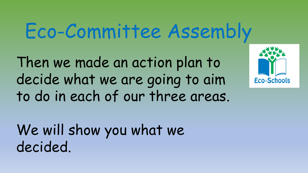Then we made an action plan to decide what we are going to aim to do in each of our three areas.



We will show you what we decided.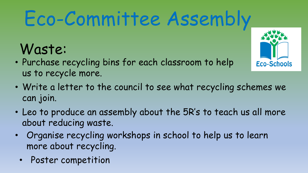#### Waste:

• Purchase recycling bins for each classroom to help us to recycle more.



- Write a letter to the council to see what recycling schemes we can join.
- Leo to produce an assembly about the 5R's to teach us all more about reducing waste.
- Organise recycling workshops in school to help us to learn more about recycling.
	- Poster competition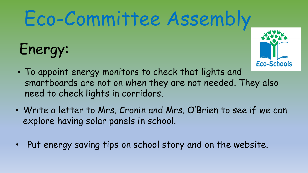## Energy:



- To appoint energy monitors to check that lights and smartboards are not on when they are not needed. They also need to check lights in corridors.
- Write a letter to Mrs. Cronin and Mrs. O'Brien to see if we can explore having solar panels in school.
- Put energy saving tips on school story and on the website.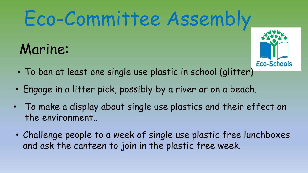#### Marine:



- To ban at least one single use plastic in school (glitter)
- Engage in a litter pick, possibly by a river or on a beach.
- To make a display about single use plastics and their effect on the environment..
- Challenge people to a week of single use plastic free lunchboxes and ask the canteen to join in the plastic free week.